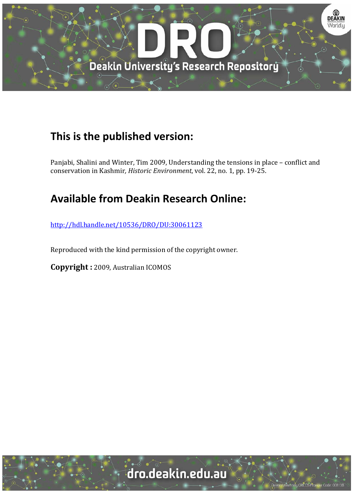

## **This is the published version:**

Panjabi, Shalini and Winter, Tim 2009, Understanding the tensions in place – conflict and conservation in Kashmir, *Historic Environment*, vol. 22, no. 1, pp. 19-25.

## **Available from Deakin Research Online:**

http://hdl.handle.net/10536/DRO/DU:30061123

Reproduced with the kind permission of the copyright owner.

**Copyright** : 2009, Australian ICOMOS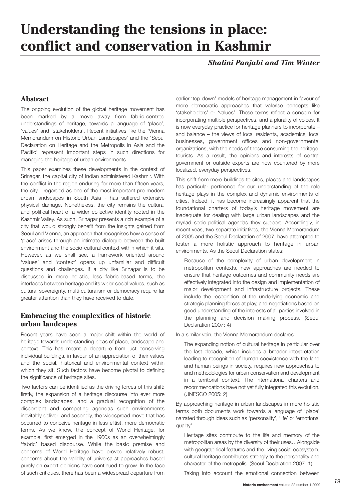# **Understanding the tensions in place: conflict and conservation in Kashmir**

*Shalini Panjabi and Tim Winter*

### **Abstract**

The ongoing evolution of the global heritage movement has been marked by a move away from fabric-centred understandings of heritage, towards a language of 'place', 'values' and 'stakeholders'. Recent initiatives like the 'Vienna Memorandum on Historic Urban Landscapes' and the 'Seoul Declaration on Heritage and the Metropolis in Asia and the Pacific' represent important steps in such directions for managing the heritage of urban environments.

This paper examines these developments in the context of Srinagar, the capital city of Indian administered Kashmir. With the conflict in the region enduring for more than fifteen years, the city - regarded as one of the most important pre-modern urban landscapes in South Asia - has suffered extensive physical damage. Nonetheless, the city remains the cultural and political heart of a wider collective identity rooted in the Kashmir Valley. As such, Srinagar presents a rich example of a city that would strongly benefit from the insights gained from Seoul and Vienna; an approach that recognises how a sense of 'place' arises through an intimate dialogue between the built environment and the socio-cultural context within which it sits. However, as we shall see, a framework oriented around 'values' and 'context' opens up unfamiliar and difficult questions and challenges. If a city like Srinagar is to be discussed in more holistic, less fabric-based terms, the interfaces between heritage and its wider social values, such as cultural sovereignty, multi-culturalism or democracy require far greater attention than they have received to date.

#### **Embracing the complexities of historic urban landcapes**

Recent years have seen a major shift within the world of heritage towards understanding ideas of place, landscape and context. This has meant a departure from just conserving individual buildings, in favour of an appreciation of their values and the social, historical and environmental context within which they sit. Such factors have become pivotal to defining the significance of heritage sites.

Two factors can be identified as the driving forces of this shift: firstly, the expansion of a heritage discourse into ever more complex landscapes, and a gradual recognition of the discordant and competing agendas such environments inevitably deliver; and secondly, the widespread move that has occurred to conceive heritage in less elitist, more democratic terms. As we know, the concept of World Heritage, for example, first emerged in the 1960s as an overwhelmingly 'fabric' based discourse. While the basic premise and concerns of World Heritage have proved relatively robust, concerns about the validity of universalist approaches based purely on expert opinions have continued to grow. In the face of such critiques, there has been a widespread departure from earlier 'top down' models of heritage management in favour of more democratic approaches that valorise concepts like 'stakeholders' or 'values'. These terms reflect a concern for incorporating multiple perspectives, and a plurality of voices. It is now everyday practice for heritage planners to incorporate – and balance – the views of local residents, academics, local businesses, government offices and non-governmental organizations, with the needs of those consuming the heritage: tourists. As a result, the opinions and interests of central government or outside experts are now countered by more localized, everyday perspectives.

This shift from mere buildings to sites, places and landscapes has particular pertinence for our understanding of the role heritage plays in the complex and dynamic environments of cities. Indeed, it has become increasingly apparent that the foundational charters of today's heritage movement are inadequate for dealing with large urban landscapes and the myriad socio-political agendas they support. Accordingly, in recent yeas, two separate initiatives, the Vienna Memorandum of 2005 and the Seoul Declaration of 2007, have attempted to foster a more holistic approach to heritage in urban environments. As the Seoul Declaration states:

Because of the complexity of urban development in metropolitan contexts, new approaches are needed to ensure that heritage outcomes and community needs are effectively integrated into the design and implementation of major development and infrastructure projects. These include the recognition of the underlying economic and strategic planning forces at play, and negotiations based on good understanding of the interests of all parties involved in the planning and decision making process. (Seoul Declaration 2007: 4)

In a similar vein, the Vienna Memorandum declares:

The expanding notion of cultural heritage in particular over the last decade, which includes a broader interpretation leading to recognition of human coexistence with the land and human beings in society, requires new approaches to and methodologies for urban conservation and development in a territorial context. The international charters and recommendations have not yet fully integrated this evolution. (UNESCO 2005: 2)

By approaching heritage in urban landscapes in more holistic terms both documents work towards a language of 'place' narrated through ideas such as 'personality', 'life' or 'emotional quality':

Heritage sites contribute to the life and memory of the metropolitan areas by the diversity of their uses…Alongside with geographical features and the living social ecosystem, cultural heritage contributes strongly to the personality and character of the metropolis. (Seoul Declaration 2007: 1)

Taking into account the emotional connection between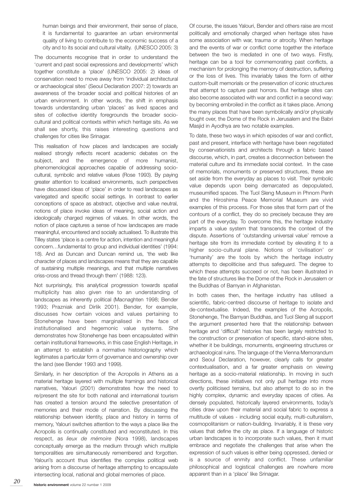human beings and their environment, their sense of place, it is fundamental to guarantee an urban environmental quality of living to contribute to the economic success of a city and to its social and cultural vitality. (UNESCO 2005: 3)

The documents recognise that in order to understand the 'current and past social expressions and developments' which together constitute a 'place' (UNESCO 2005: 2) ideas of conservation need to move away from 'individual architectural or archaeological sites' (Seoul Declaration 2007: 2) towards an awareness of the broader social and political histories of an urban environment. In other words, the shift in emphasis towards understanding urban 'places' as lived spaces and sites of collective identity foregrounds the broader sociocultural and political contexts within which heritage sits. As we shall see shortly, this raises interesting questions and challenges for cities like Srinagar.

This realisation of how places and landscapes are socially realised strongly reflects recent academic debates on the subject, and the emergence of more humanist, phenomenological approaches capable of addressing sociocultural, symbolic and relative values (Rose 1993). By paying greater attention to localised environments, such perspectives have discussed ideas of 'place' in order to read landscapes as variegated and specific social settings. In contrast to earlier conceptions of space as abstract, objective and value neutral, notions of place invoke ideas of meaning, social action and ideologically charged regimes of values. In other words, the notion of place captures a sense of how landscapes are made meaningful, encountered and socially actualised. To illustrate this Tilley states 'place is a centre for action, intention and meaningful concern…fundamental to group and individual identities' (1994: 18). And as Duncan and Duncan remind us, 'the web like character of places and landscapes means that they are capable of sustaining multiple meanings, and that multiple narratives criss-cross and thread through them' (1988: 123).

Not surprisingly, this analytical progression towards spatial multiplicity has also given rise to an understanding of landscapes as inherently political (Macnaghten 1998; Bender 1993; Prazniak and Dirlik 2001). Bender, for example, discusses how certain voices and values pertaining to Stonehenge have been marginalised in the face of institutionalised and hegemonic value systems. She demonstrates how Stonehenge has been encapsulated within certain institutional frameworks, in this case English Heritage, in an attempt to establish a normative historiography which legitimates a particular form of governance and ownership over the land (see Bender 1993 and 1999).

Similarly, in her description of the Acropolis in Athens as a material heritage layered with multiple framings and historical narratives, Yalouri (2001) demonstrates how the need to re/present the site for both national and international tourism has created a tension around the selective presentation of memories and their mode of narration. By discussing the relationship between identity, place and history in terms of memory, Yalouri switches attention to the ways a place like the Acropolis is continually constituted and reconstituted. In this respect, as *lieux de mémoire* (Nora 1998), landscapes conceptually emerge as the medium through which multiple temporalities are simultaneously remembered and forgotten. Yalouri's account thus identifies the complex political web arising from a discourse of heritage attempting to encapsulate intersecting local, national and global memories of place.

Of course, the issues Yalouri, Bender and others raise are most politically and emotionally charged when heritage sites have some association with war, trauma or atrocity. When heritage and the events of war or conflict come together the interface between the two is mediated in one of two ways. Firstly, heritage can be a tool for commemorating past conflicts, a mechanism for prolonging the memory of destruction, suffering or the loss of lives. This invariably takes the form of either custom-built memorials or the preservation of iconic structures that attempt to capture past horrors. But heritage sites can also become associated with war and conflict in a second way: by becoming embroiled in the conflict as it takes place. Among the many places that have been symbolically and/or physically fought over, the Dome of the Rock in Jerusalem and the Babri Masjid in Ayodhya are two notable examples.

To date, these two ways in which episodes of war and conflict, past and present, interface with heritage have been negotiated by conservationists and architects through a fabric based discourse, which, in part, creates a disconnection between the material culture and its immediate social context. In the case of memorials, monuments or preserved structures, these are set aside from the everyday as places to visit. Their symbolic value depends upon being demarcated as depopulated, museumified spaces. The Tuol Sleng Museum in Phnom Penh and the Hiroshima Peace Memorial Museum are vivid examples of this process. For those sites that form part of the contours of a conflict, they do so precisely because they are part of the everyday. To overcome this, the heritage industry imparts a value system that transcends the context of the dispute. Assertions of 'outstanding universal value' remove a heritage site from its immediate context by elevating it to a higher socio-cultural plane. Notions of 'civilisation' or 'humanity' are the tools by which the heritage industry attempts to depoliticise and thus safeguard. The degree to which these attempts succeed or not, has been illustrated in the fate of structures like the Dome of the Rock in Jerusalem or the Buddhas of Bamyan in Afghanistan.

In both cases then, the heritage industry has utilised a scientific, fabric-centred discourse of heritage to isolate and de-contextualise. Indeed, the examples of the Acropolis, Stonehenge, The Bamyan Buddhas, and Tuol Sleng all support the argument presented here that the relationship between heritage and 'difficult' histories has been largely restricted to the construction or preservation of specific, stand-alone sites, whether it be buildings, monuments, engineering structures or archaeological ruins. The language of the Vienna Memorandum and Seoul Declaration, however, clearly calls for greater contextualisation, and a far greater emphasis on viewing heritage as a socio-material relationship. In moving in such directions, these initiatives not only pull heritage into more overtly politicised terrains, but also attempt to do so in the highly complex, dynamic and everyday spaces of cities. As densely populated, historically layered environments, today's cities draw upon their material and social fabric to express a multitude of values - including social equity, multi-culturalism, cosmopolitanism or nation-building. Invariably, it is these very values that define the city as place. If a language of historic urban landscapes is to incorporate such values, then it must embrace and negotiate the challenges that arise when the expression of such values is either being oppressed, denied or is a source of enmity and conflict. These unfamiliar philosophical and logistical challenges are nowhere more apparent than in a 'place' like Srinagar.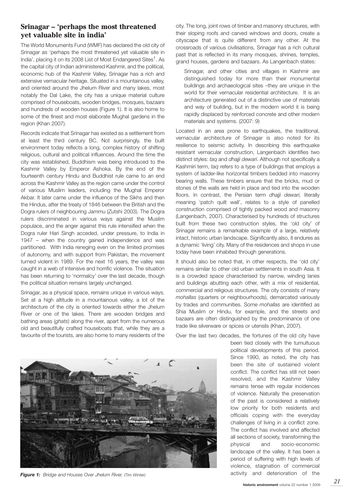#### **Srinagar – 'perhaps the most threatened yet valuable site in india'**

The World Monuments Fund (WMF) has declared the old city of Srinagar as 'perhaps the most threatened yet valuable site in India', placing it on its 2008 List of Most Endangered Sites<sup>1</sup>. As the capital city of Indian administered Kashmir, and the political, economic hub of the Kashmir Valley, Srinagar has a rich and extensive vernacular heritage. Situated in a mountainous valley, and oriented around the Jhelum River and many lakes, most notably the Dal Lake, the city has a unique material culture comprised of houseboats, wooden bridges, mosques, bazaars and hundreds of wooden houses (Figure 1). It is also home to some of the finest and most elaborate Mughal gardens in the region (Khan 2007).

Records indicate that Srinagar has existed as a settlement from at least the third century BC. Not surprisingly, the built environment today reflects a long, complex history of shifting religious, cultural and political influences. Around the time the city was established, Buddhism was being introduced to the Kashmir Valley by Emperor Ashoka. By the end of the fourteenth century Hindu and Buddhist rule came to an end across the Kashmir Valley as the region came under the control of various Muslim leaders, including the Mughal Emperor Akbar. It later came under the influence of the Sikhs and then the Hindus, after the treaty of 1846 between the British and the Dogra rulers of neighbouring Jammu (Zutshi 2003). The Dogra rulers discriminated in various ways against the Muslim populace, and the anger against this rule intensified when the Dogra ruler Hari Singh acceded, under pressure, to India in 1947 – when the country gained independence and was partitioned. With India reneging even on the limited promises of autonomy, and with support from Pakistan, the movement turned violent in 1989. For the next 16 years, the valley was caught in a web of intensive and horrific violence. The situation has been returning to 'normalcy' over the last decade, though the political situation remains largely unchanged.

Srinagar, as a physical space, remains unique in various ways. Set at a high altitude in a mountainous valley, a lot of the architecture of the city is oriented towards either the Jhelum River or one of the lakes. There are wooden bridges and bathing areas (*ghats*) along the river, apart from the numerous old and beautifully crafted houseboats that, while they are a favourite of the tourists, are also home to many residents of the city. The long, joint rows of timber and masonry structures, with their sloping roofs and carved windows and doors, create a cityscape that is quite different from any other. At the crossroads of various civilisations, Srinagar has a rich cultural past that is reflected in its many mosques, shrines, temples, grand houses, gardens and bazaars. As Langenbach states:

Srinagar, and other cities and villages in Kashmir are distinguished today for more than their monumental buildings and archaeological sites –they are unique in the world for their vernacular residential architecture. It is an architecture generated out of a distinctive use of materials and way of building, but in the modern world it is being rapidly displaced by reinforced concrete and other modern materials and systems. (2007: 9)

Located in an area prone to earthquakes, the traditional, vernacular architecture of Srinagar is also noted for its resilience to seismic activity. In describing this earthquake resistant vernacular construction, Langenbach identifies two distinct styles: *taq* and *dhajji dewari*. Although not specifically a Kashmiri term, *taq* refers to a type of buildings that employs a system of ladder-like horizontal timbers bedded into masonry bearing walls. These timbers ensure that the bricks, mud or stones of the walls are held in place and tied into the wooden floors. In contrast, the Persian term *dhajji dewari,* literally meaning 'patch quilt wall', relates to a style of panelled construction comprised of tightly packed wood and masonry (Langenbach, 2007). Characterised by hundreds of structures built from these two construction styles, the 'old city' of Srinagar remains a remarkable example of a large, relatively intact, historic urban landscape. Significantly also, it endures as a dynamic 'living' city. Many of the residences and shops in use today have been inhabited through generations.

It should also be noted that, in other respects, the 'old city' remains similar to other old urban settlements in south Asia. It is a crowded space characterised by narrow, winding lanes and buildings abutting each other, with a mix of residential, commercial and religious structures. The city consists of many *mohallas* (quarters or neighbourhoods), demarcated variously by trades and communities. Some *mohallas* are identified as Shia Muslim or Hindu, for example, and the streets and bazaars are often distinguished by the predominance of one trade like silverware or spices or utensils (Khan, 2007).

Over the last two decades, the fortunes of the old city have

been tied closely with the tumultuous political developments of this period. Since 1990, as noted, the city has been the site of sustained violent conflict. The conflict has still not been resolved, and the Kashmir Valley remains tense with regular incidences of violence. Naturally the preservation of the past is considered a relatively low priority for both residents and officials coping with the everyday challenges of living in a conflict zone. The conflict has involved and affected all sections of society, transforming the physical and socio-economic landscape of the valley. It has been a period of suffering with high levels of violence, stagnation of commercial



activity and deterioration of the *Figure 1: Bridge and Houses Over Jhelum River, (Tim Winter)*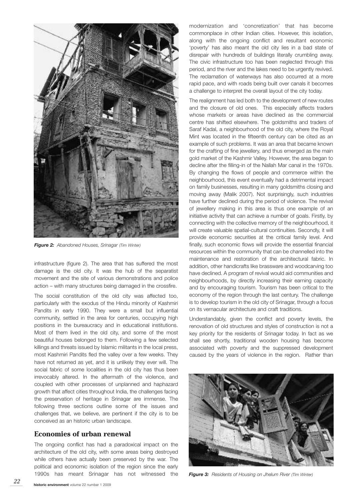

*Figure 2: Abandoned Houses, Srinagar (Tim Winter)*

infrastructure (figure 2). The area that has suffered the most damage is the old city. It was the hub of the separatist movement and the site of various demonstrations and police action – with many structures being damaged in the crossfire.

The social constitution of the old city was affected too, particularly with the exodus of the Hindu minority of Kashmiri Pandits in early 1990. They were a small but influential community, settled in the area for centuries, occupying high positions in the bureaucracy and in educational institutions. Most of them lived in the old city, and some of the most beautiful houses belonged to them. Following a few selected killings and threats issued by Islamic militants in the local press, most Kashmiri Pandits fled the valley over a few weeks. They have not returned as yet, and it is unlikely they ever will. The social fabric of some localities in the old city has thus been irrevocably altered. In the aftermath of the violence, and coupled with other processes of unplanned and haphazard growth that affect cities throughout India, the challenges facing the preservation of heritage in Srinagar are immense. The following three sections outline some of the issues and challenges that, we believe, are pertinent if the city is to be conceived as an historic urban landscape.

#### **Economies of urban renewal**

The ongoing conflict has had a paradoxical impact on the architecture of the old city, with some areas being destroyed while others have actually been preserved by the war. The political and economic isolation of the region since the early 1990s has meant Srinagar has not witnessed the

modernization and 'concretization' that has become commonplace in other Indian cities. However, this isolation, along with the ongoing conflict and resultant economic 'poverty' has also meant the old city lies in a bad state of disrepair with hundreds of buildings literally crumbling away. The civic infrastructure too has been neglected through this period, and the river and the lakes need to be urgently revived. The reclamation of waterways has also occurred at a more rapid pace, and with roads being built over canals it becomes a challenge to interpret the overall layout of the city today.

The realignment has led both to the development of new routes and the closure of old ones. This especially affects traders whose markets or areas have declined as the commercial centre has shifted elsewhere. The goldsmiths and traders of Saraf Kadal, a neighbourhood of the old city, where the Royal Mint was located in the fifteenth century can be cited as an example of such problems. It was an area that became known for the crafting of fine jewellery, and thus emerged as the main gold market of the Kashmir Valley. However, the area began to decline after the filling-in of the Nallah Mar canal in the 1970s. By changing the flows of people and commerce within the neighbourhood, this event eventually had a detrimental impact on family businesses, resulting in many goldsmiths closing and moving away (Malik 2007). Not surprisingly, such industries have further declined during the period of violence. The revival of jewellery making in this area is thus one example of an initiative activity that can achieve a number of goals. Firstly, by connecting with the collective memory of the neighbourhood, it will create valuable spatial-cultural continuities. Secondly, it will provide economic securities at the critical family level. And finally, such economic flows will provide the essential financial resources within the community that can be channelled into the maintenance and restoration of the architectural fabric. In addition, other handicrafts like brassware and woodcarving too have declined. A program of revival would aid communities and neighbourhoods, by directly increasing their earning capacity and by encouraging tourism. Tourism has been critical to the economy of the region through the last century. The challenge is to develop tourism in the old city of Srinagar, through a focus on its vernacular architecture and craft traditions.

Understandably, given the conflict and poverty levels, the renovation of old structures and styles of construction is not a key priority for the residents of Srinagar today. In fact as we shall see shortly, traditional wooden housing has become associated with poverty and the suppressed development caused by the years of violence in the region. Rather than



*Figure 3: Residents of Housing on Jhelum River (Tim Winter)*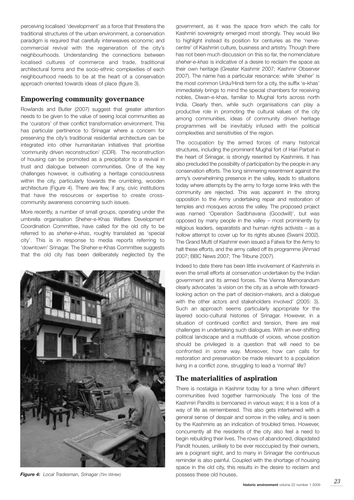perceiving localised 'development' as a force that threatens the traditional structures of the urban environment, a conservation paradigm is required that carefully interweaves economic and commercial revival with the regeneration of the city's neighbourhoods. Understanding the connections between localised cultures of commerce and trade, traditional architectural forms and the socio-ethnic complexities of each neighbourhood needs to be at the heart of a conservation approach oriented towards ideas of place (figure 3).

#### **Empowering community governance**

Rowlands and Butler (2007) suggest that greater attention needs to be given to the value of seeing local communities as the 'curators' of their conflict transformation environment. This has particular pertinence to Srinagar where a concern for preserving the city's traditional residential architecture can be integrated into other humanitarian initiatives that prioritise 'community driven reconstruction' (CDR). The reconstruction of housing can be promoted as a precipitator to a revival in trust and dialogue between communities. One of the key challenges however, is cultivating a heritage consciousness within the city, particularly towards the crumbling, wooden architecture (Figure 4). There are few, if any, civic institutions that have the resources or expertise to create crosscommunity awareness concerning such issues.

More recently, a number of small groups, operating under the umbrella organisation Sheher-e-Khas Welfare Development Coordination Committee, have called for the old city to be referred to as *sheher-e-khas*, roughly translated as 'special city'. This is in response to media reports referring to 'downtown' Srinagar. The Sheher-e-Khas Committee suggests that the old city has been deliberately neglected by the



**Figure 4:** Local Tradesman, *Srinagar* (Tim Winter) **possess** these old houses.

government, as it was the space from which the calls for Kashmiri sovereignty emerged most strongly. They would like to highlight instead its position for centuries as the 'nervecentre' of Kashmiri culture, business and artistry. Though there has not been much discussion on this so far, the nomenclature *sheher-e-khas* is indicative of a desire to reclaim the space as their own heritage (Greater Kashmir 2007; Kashmir Observer 2007). The name has a particular resonance: while 'sheher' is the most common Urdu/Hindi term for a city, the suffix 'e-khas' immediately brings to mind the special chambers for receiving nobles, Diwan-e-khas, familiar to Mughal forts across north India. Clearly then, while such organisations can play a productive role in promoting the cultural values of the city among communities, ideas of community driven heritage programmes will be inevitably infused with the political complexities and sensitivities of the region.

The occupation by the armed forces of many historical structures, including the prominent Mughal fort of Hari Parbat in the heart of Srinagar, is strongly resented by Kashmiris. It has also precluded the possibility of participation by the people in any conservation efforts. The long simmering resentment against the army's overwhelming presence in the valley, leads to situations today where attempts by the army to forge some links with the community are rejected. This was apparent in the strong opposition to the Army undertaking repair and restoration of temples and mosques across the valley. The proposed project was named 'Operation Sadbhavana (Goodwill)', but was opposed by many people in the valley – most prominently by religious leaders, separatists and human rights activists – as a hollow attempt to cover up for its rights abuses (Swami 2002). The Grand Mufti of Kashmir even issued a Fatwa for the Army to halt these efforts, and the army called off its programme (Ahmad 2007; BBC News 2007; The Tribune 2007).

Indeed to date there has been little involvement of Kashmiris in even the small efforts at conservation undertaken by the Indian government and its armed forces. The Vienna Memorandum clearly advocates 'a vision on the city as a whole with forwardlooking action on the part of decision-makers, and a dialogue with the other actors and stakeholders involved' (2005: 3). Such an approach seems particularly appropriate for the layered socio-cultural histories of Srinagar. However, in a situation of continued conflict and tension, there are real challenges in undertaking such dialogues. With an ever-shifting political landscape and a multitude of voices, whose position should be privileged is a question that will need to be confronted in some way. Moreover, how can calls for restoration and preservation be made relevant to a population living in a conflict zone, struggling to lead a 'normal' life?

### **The materialities of aspiration**

There is nostalgia in Kashmir today for a time when different communities lived together harmoniously. The loss of the Kashmiri Pandits is bemoaned in various ways; it is a loss of a way of life as remembered. This also gets intertwined with a general sense of despair and sorrow in the valley, and is seen by the Kashmiris as an indication of troubled times. However, concurrently all the residents of the city also feel a need to begin rebuilding their lives. The rows of abandoned, dilapidated Pandit houses, unlikely to be ever reoccupied by their owners, are a poignant sight, and to many in Srinagar the continuous reminder is also painful. Coupled with the shortage of housing space in the old city, this results in the desire to reclaim and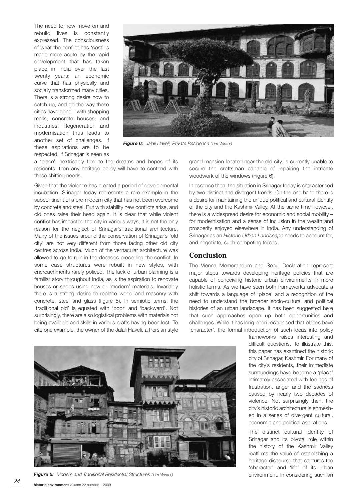The need to now move on and rebuild lives is constantly expressed. The consciousness of what the conflict has 'cost' is made more acute by the rapid development that has taken place in India over the last twenty years; an economic curve that has physically and socially transformed many cities. There is a strong desire now to catch up, and go the way these cities have gone – with shopping malls, concrete houses, and industries. Regeneration and modernisation thus leads to another set of challenges. If these aspirations are to be respected, if Srinagar is seen as



*Figure 6: Jalali Haveli, Private Residence (Tim Winter)*

a 'place' inextricably tied to the dreams and hopes of its residents, then any heritage policy will have to contend with these shifting needs.

Given that the violence has created a period of developmental incubation, Srinagar today represents a rare example in the subcontinent of a pre-modern city that has not been overcome by concrete and steel. But with stability new conflicts arise, and old ones raise their head again. It is clear that while violent conflict has impacted the city in various ways, it is not the only reason for the neglect of Srinagar's traditional architecture. Many of the issues around the conservation of Srinagar's 'old city' are not very different from those facing other old city centres across India. Much of the vernacular architecture was allowed to go to ruin in the decades preceding the conflict. In some case structures were rebuilt in new styles, with encroachments rarely policed. The lack of urban planning is a familiar story throughout India, as is the aspiration to renovate houses or shops using new or 'modern' materials. Invariably there is a strong desire to replace wood and masonry with concrete, steel and glass (figure 5). In semiotic terms, the 'traditional old' is equated with 'poor' and 'backward'. Not surprisingly, there are also logistical problems with materials not being available and skills in various crafts having been lost. To cite one example, the owner of the Jalali Haveli, a Persian style

grand mansion located near the old city, is currently unable to secure the craftsman capable of repairing the intricate woodwork of the windows (Figure 6).

In essence then, the situation in Srinagar today is characterised by two distinct and divergent trends. On the one hand there is a desire for maintaining the unique political and cultural identity of the city and the Kashmir Valley. At the same time however, there is a widespread desire for economic and social mobility – for modernisation and a sense of inclusion in the wealth and prosperity enjoyed elsewhere in India. Any understanding of Srinagar as an *Historic Urban Landscape* needs to account for, and negotiate, such competing forces.

#### **Conclusion**

The Vienna Memorandum and Seoul Declaration represent major steps towards developing heritage policies that are capable of conceiving historic urban environments in more holistic terms. As we have seen both frameworks advocate a shift towards a language of 'place' and a recognition of the need to understand the broader socio-cultural and political histories of an urban landscape. It has been suggested here that such approaches open up both opportunities and challenges. While it has long been recognised that places have 'character', the formal introduction of such ideas into policy

> frameworks raises interesting and difficult questions. To illustrate this, this paper has examined the historic city of Srinagar, Kashmir. For many of the city's residents, their immediate surroundings have become a 'place' intimately associated with feelings of frustration, anger and the sadness caused by nearly two decades of violence. Not surprisingly then, the city's historic architecture is enmeshed in a series of divergent cultural, economic and political aspirations.

> The distinct cultural identity of Srinagar and its pivotal role within the history of the Kashmir Valley reaffirms the value of establishing a heritage discourse that captures the 'character' and 'life' of its urban



*Figure 5: Modern and Traditional Residential Structures (Tim Winter)* environment. In considering such an